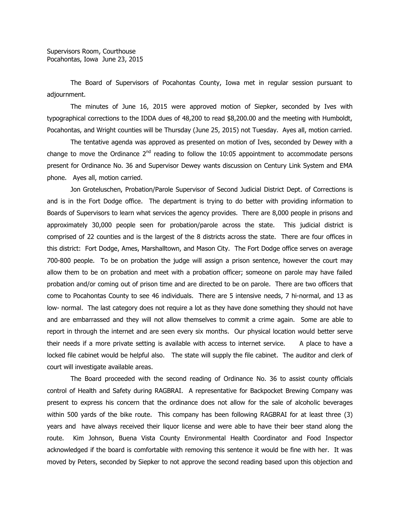The Board of Supervisors of Pocahontas County, Iowa met in regular session pursuant to adjournment.

The minutes of June 16, 2015 were approved motion of Siepker, seconded by Ives with typographical corrections to the IDDA dues of 48,200 to read \$8,200.00 and the meeting with Humboldt, Pocahontas, and Wright counties will be Thursday (June 25, 2015) not Tuesday. Ayes all, motion carried.

The tentative agenda was approved as presented on motion of Ives, seconded by Dewey with a change to move the Ordinance  $2<sup>nd</sup>$  reading to follow the 10:05 appointment to accommodate persons present for Ordinance No. 36 and Supervisor Dewey wants discussion on Century Link System and EMA phone. Ayes all, motion carried.

Jon Groteluschen, Probation/Parole Supervisor of Second Judicial District Dept. of Corrections is and is in the Fort Dodge office. The department is trying to do better with providing information to Boards of Supervisors to learn what services the agency provides. There are 8,000 people in prisons and approximately 30,000 people seen for probation/parole across the state. This judicial district is comprised of 22 counties and is the largest of the 8 districts across the state. There are four offices in this district: Fort Dodge, Ames, Marshalltown, and Mason City. The Fort Dodge office serves on average 700-800 people. To be on probation the judge will assign a prison sentence, however the court may allow them to be on probation and meet with a probation officer; someone on parole may have failed probation and/or coming out of prison time and are directed to be on parole. There are two officers that come to Pocahontas County to see 46 individuals. There are 5 intensive needs, 7 hi-normal, and 13 as low- normal. The last category does not require a lot as they have done something they should not have and are embarrassed and they will not allow themselves to commit a crime again. Some are able to report in through the internet and are seen every six months. Our physical location would better serve their needs if a more private setting is available with access to internet service. A place to have a locked file cabinet would be helpful also. The state will supply the file cabinet. The auditor and clerk of court will investigate available areas.

The Board proceeded with the second reading of Ordinance No. 36 to assist county officials control of Health and Safety during RAGBRAI. A representative for Backpocket Brewing Company was present to express his concern that the ordinance does not allow for the sale of alcoholic beverages within 500 yards of the bike route. This company has been following RAGBRAI for at least three (3) years and have always received their liquor license and were able to have their beer stand along the route. Kim Johnson, Buena Vista County Environmental Health Coordinator and Food Inspector acknowledged if the board is comfortable with removing this sentence it would be fine with her. It was moved by Peters, seconded by Siepker to not approve the second reading based upon this objection and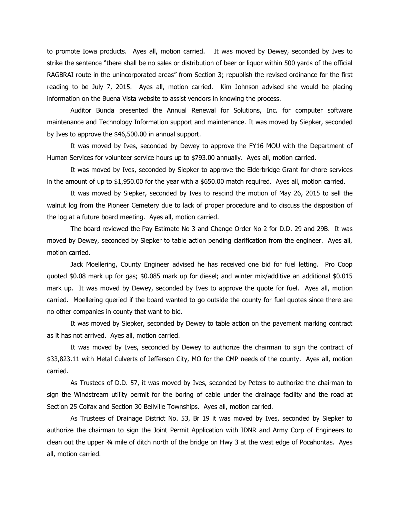to promote Iowa products. Ayes all, motion carried. It was moved by Dewey, seconded by Ives to strike the sentence "there shall be no sales or distribution of beer or liquor within 500 yards of the official RAGBRAI route in the unincorporated areas" from Section 3; republish the revised ordinance for the first reading to be July 7, 2015. Ayes all, motion carried. Kim Johnson advised she would be placing information on the Buena Vista website to assist vendors in knowing the process.

Auditor Bunda presented the Annual Renewal for Solutions, Inc. for computer software maintenance and Technology Information support and maintenance. It was moved by Siepker, seconded by Ives to approve the \$46,500.00 in annual support.

It was moved by Ives, seconded by Dewey to approve the FY16 MOU with the Department of Human Services for volunteer service hours up to \$793.00 annually. Ayes all, motion carried.

It was moved by Ives, seconded by Siepker to approve the Elderbridge Grant for chore services in the amount of up to \$1,950.00 for the year with a \$650.00 match required. Ayes all, motion carried.

It was moved by Siepker, seconded by Ives to rescind the motion of May 26, 2015 to sell the walnut log from the Pioneer Cemetery due to lack of proper procedure and to discuss the disposition of the log at a future board meeting. Ayes all, motion carried.

The board reviewed the Pay Estimate No 3 and Change Order No 2 for D.D. 29 and 29B. It was moved by Dewey, seconded by Siepker to table action pending clarification from the engineer. Ayes all, motion carried.

Jack Moellering, County Engineer advised he has received one bid for fuel letting. Pro Coop quoted \$0.08 mark up for gas; \$0.085 mark up for diesel; and winter mix/additive an additional \$0.015 mark up. It was moved by Dewey, seconded by Ives to approve the quote for fuel. Ayes all, motion carried. Moellering queried if the board wanted to go outside the county for fuel quotes since there are no other companies in county that want to bid.

It was moved by Siepker, seconded by Dewey to table action on the pavement marking contract as it has not arrived. Ayes all, motion carried.

It was moved by Ives, seconded by Dewey to authorize the chairman to sign the contract of \$33,823.11 with Metal Culverts of Jefferson City, MO for the CMP needs of the county. Ayes all, motion carried.

As Trustees of D.D. 57, it was moved by Ives, seconded by Peters to authorize the chairman to sign the Windstream utility permit for the boring of cable under the drainage facility and the road at Section 25 Colfax and Section 30 Bellville Townships. Ayes all, motion carried.

As Trustees of Drainage District No. 53, Br 19 it was moved by Ives, seconded by Siepker to authorize the chairman to sign the Joint Permit Application with IDNR and Army Corp of Engineers to clean out the upper ¾ mile of ditch north of the bridge on Hwy 3 at the west edge of Pocahontas. Ayes all, motion carried.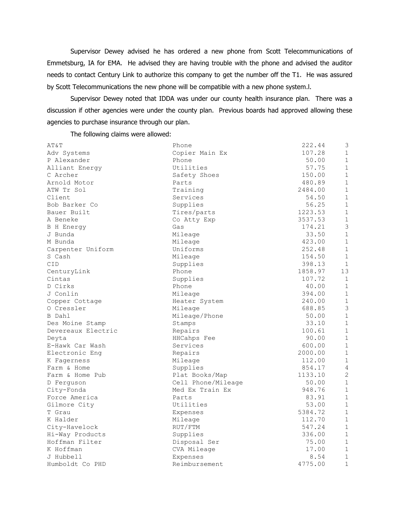Supervisor Dewey advised he has ordered a new phone from Scott Telecommunications of Emmetsburg, IA for EMA. He advised they are having trouble with the phone and advised the auditor needs to contact Century Link to authorize this company to get the number off the T1. He was assured by Scott Telecommunications the new phone will be compatible with a new phone system.l.

Supervisor Dewey noted that IDDA was under our county health insurance plan. There was a discussion if other agencies were under the county plan. Previous boards had approved allowing these agencies to purchase insurance through our plan.

The following claims were allowed:

| AT&T               | Phone              | 222.44  | $\mathfrak{Z}$ |
|--------------------|--------------------|---------|----------------|
| Adv Systems        | Copier Main Ex     | 107.28  | $\mathbf{1}$   |
| P Alexander        | Phone              | 50.00   | $\mathbf{1}$   |
| Alliant Energy     | Utilities          | 57.75   | $\mathbf{1}$   |
| C Archer           | Safety Shoes       | 150.00  | $\mathbf{1}$   |
| Arnold Motor       | Parts              | 480.89  | $\mathbf 1$    |
| ATW Tr Sol         | Training           | 2484.00 | $\mathbf{1}$   |
| Client             | Services           | 54.50   | $\mathbf{1}$   |
| Bob Barker Co      | Supplies           | 56.25   | $\mathbf{1}$   |
| Bauer Built        | Tires/parts        | 1223.53 | $\mathbf{1}$   |
| A Beneke           | Co Atty Exp        | 3537.53 | $1\,$          |
| B H Energy         | Gas                | 174.21  | $\mathfrak{Z}$ |
| J Bunda            | Mileage            | 33.50   | $\mathbf{1}$   |
| M Bunda            | Mileage            | 423.00  | $\mathbf{1}$   |
| Carpenter Uniform  | Uniforms           | 252.48  | $\mathbf{1}$   |
| S Cash             | Mileage            | 154.50  | $\mathbf{1}$   |
| CID                | Supplies           | 398.13  | $\mathbf{1}$   |
| CenturyLink        | Phone              | 1858.97 | 13             |
| Cintas             | Supplies           | 107.72  | $\mathbf{1}$   |
| D Cirks            | Phone              | 40.00   | $\mathbf{1}$   |
| J Conlin           | Mileage            | 394.00  | $\mathbf{1}$   |
| Copper Cottage     | Heater System      | 240.00  | $\mathbf{1}$   |
| 0 Cressler         | Mileage            | 688.85  | $\mathfrak{Z}$ |
| B Dahl             | Mileage/Phone      | 50.00   | $\,1\,$        |
| Des Moine Stamp    | Stamps             | 33.10   | $\mathbf{1}$   |
| Devereaux Electric | Repairs            | 100.61  | $\mathbf{1}$   |
| Deyta              | HHCahps Fee        | 90.00   | $\mathbf{1}$   |
| E-Hawk Car Wash    | Services           | 600.00  | $\mathbf{1}$   |
| Electronic Enq     | Repairs            | 2000.00 | $\mathbf{1}$   |
| K Fagerness        | Mileage            | 112.00  | $\mathbf{1}$   |
| Farm & Home        | Supplies           | 854.17  | 4              |
| Farm & Home Pub    | Plat Books/Map     | 1133.10 | $\mathbf{2}$   |
| D Ferguson         | Cell Phone/Mileage | 50.00   | $\mathbf{1}$   |
| City-Fonda         | Med Ex Train Ex    | 948.76  | $\mathbf{1}$   |
| Force America      | Parts              | 83.91   | $\mathbf{1}$   |
| Gilmore City       | Utilities          | 53.00   | $\mathbf{1}$   |
| T Grau             | Expenses           | 5384.72 | $\mathbf{1}$   |
| K Halder           | Mileage            | 112.70  | $\mathbf{1}$   |
| City-Havelock      | RUT/FTM            | 547.24  | $\mathbf{1}$   |
| Hi-Way Products    | Supplies           | 336.00  | $\mathbf{1}$   |
| Hoffman Filter     | Disposal Ser       | 75.00   | $\mathbf{1}$   |
| K Hoffman          | CVA Mileage        | 17.00   | $\mathbf{1}$   |
| J Hubbell          | Expenses           | 8.54    | 1              |
| Humboldt Co PHD    | Reimbursement      | 4775.00 | $\mathbf 1$    |
|                    |                    |         |                |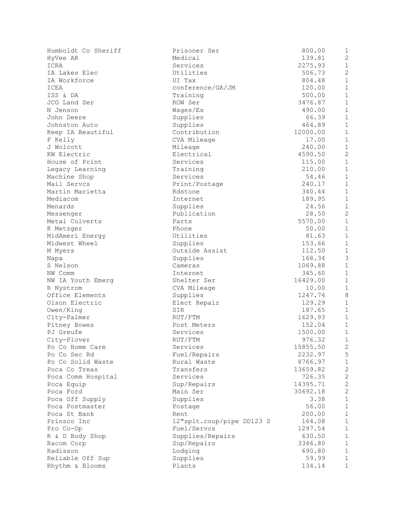| Humboldt Co Sheriff | Prisoner Ser              | 800.00   | $\mathbf{1}$   |
|---------------------|---------------------------|----------|----------------|
| HyVee AR            | Medical                   | 139.81   | $\overline{c}$ |
| ICRA                | Services                  | 2275.93  | $\mathbf{1}$   |
| IA Lakes Elec       | Utilities                 | 506.73   | $\overline{2}$ |
| IA Workforce        | UI Tax                    | 804.48   | $\mathbf 1$    |
| ICEA                | conference/GA/JM          | 120.00   | $\mathbf{1}$   |
| ISS & DA            | Training                  | 500.00   | $\mathbf 1$    |
| JCG Land Ser        | ROW Ser                   | 3476.87  | $\mathbf{1}$   |
| N Jenson            | Wages/Ex                  | 490.00   | $\mathbf{1}$   |
| John Deere          | Supplies                  | 66.39    | $\mathbf{1}$   |
| Johnston Auto       | Supplies                  | 464.89   | $\mathbf{1}$   |
| Keep IA Beautiful   | Contribution              | 12000.00 | $\mathbf{1}$   |
| F Kelly             | CVA Mileage               | 17.00    | $\mathbf{1}$   |
| J Wolcott           | Mileage                   | 240.00   | $\mathbf{1}$   |
| KW Electric         | Electrical                | 4590.50  | $\overline{2}$ |
| House of Print      | Services                  | 115.00   | $\mathbf 1$    |
| Legacy Learning     | Training                  | 210.00   | $\mathbf{1}$   |
| Machine Shop        | Services                  | 54.46    | $\mathbf{1}$   |
| Mail Servcs         | Print/Postage             | 240.17   | $\mathbf{1}$   |
| Martin Marietta     | Rdstone                   | 340.44   | $\mathbf{1}$   |
| Mediacom            | Internet                  | 189.95   | $\mathbf{1}$   |
| Menards             | Supplies                  | 24.56    | $\mathbf 1$    |
| Messenger           | Publication               | 28.50    | $\overline{2}$ |
| Metal Culverts      | Parts                     | 5570.00  | $1\,$          |
| K Metzger           | Phone                     | 50.00    | $\mathbf{1}$   |
| MidAmeri Energy     | Utilities                 | 81.63    | $\mathbf{1}$   |
| Midwest Wheel       | Supplies                  | 153.66   | $\mathbf 1$    |
| M Myers             | Outside Assist            | 112.50   | $\mathbf 1$    |
| Napa                | Supplies                  | 168.34   | 3              |
| S Nelson            | Cameras                   | 1069.88  | $\mathbf 1$    |
| NW Comm             | Internet                  | 345.60   | $\mathbf{1}$   |
| NW IA Youth Emerg   | Shelter Ser               | 16429.00 | $\mathbf{1}$   |
| R Nystrom           | CVA Mileage               | 10.00    | $\mathbf{1}$   |
| Office Elements     | Supplies                  | 1247.74  | 8              |
| Olson Electric      | Elect Repair              | 129.29   | $\mathbf{1}$   |
| Owen/King           | SIR                       | 187.65   | $\mathbf 1$    |
| City-Palmer         | RUT/FTM                   | 1629.93  | $\mathbf{1}$   |
| Pitney Bowes        | Post Meters               | 152.04   | $\mathbf 1$    |
| PJ Greufe           | Services                  | 1500.00  | $\mathbf 1$    |
| City-Plover         | RUT/FTM                   | 976.32   | $\mathbf{1}$   |
| Po Co Home Care     | Services                  | 15855.50 | 2              |
| Po Co Sec Rd        | Fuel/Repairs              | 2232.97  | 5              |
| Po Co Solid Waste   | Rural Waste               | 8766.97  | $\mathbf 1$    |
| Poca Co Treas       | Transfers                 | 13659.82 | $\mathbf{2}$   |
| Poca Comm Hospital  | Services                  | 726.35   | $\mathbf{2}$   |
| Poca Equip          | Sup/Repairs               | 14395.71 | $\mathbf{2}$   |
| Poca Ford           | Main Ser                  | 30692.18 | $\mathbf{2}$   |
| Poca Off Supply     | Supplies                  | 3.38     | $\mathbf{1}$   |
| Poca Postmaster     | Postage                   | 56.00    | $\mathbf 1$    |
| Poca St Bank        | Rent                      | 200.00   | $\mathbf{1}$   |
| Prinsco Inc         | 12"splt.coup/pipe DD123 S | 164.08   | $\mathbf{1}$   |
| Pro Co-Op           | Fuel/Servcs               | 1297.54  | $1\,$          |
| R & D Body Shop     | Supplies/Repairs          | 630.50   | $\mathbf{1}$   |
| Racom Corp          | Sup/Repairs               | 3346.80  | $\mathbf{1}$   |
| Radisson            | Lodging                   | 690.80   | $\mathbf 1$    |
| Reliable Off Sup    | Supplies                  | 59.99    | $\mathbf{1}$   |
| Rhythm & Blooms     | Plants                    | 134.14   | $\mathbf{1}$   |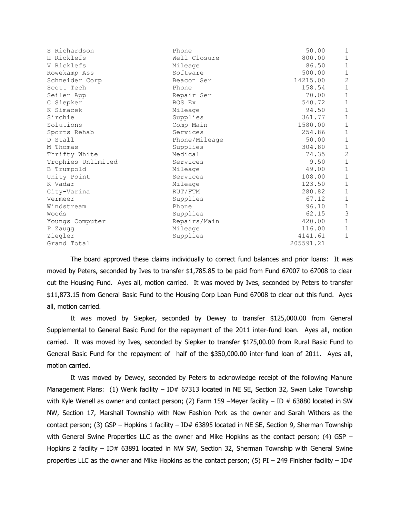| S Richardson       | Phone         | 50.00     | 1              |
|--------------------|---------------|-----------|----------------|
| H Ricklefs         | Well Closure  | 800.00    | $1\,$          |
| V Ricklefs         | Mileage       | 86.50     | $\mathbf{1}$   |
| Rowekamp Ass       | Software      | 500.00    | $\mathbf 1$    |
| Schneider Corp     | Beacon Ser    | 14215.00  | $\overline{2}$ |
| Scott Tech         | Phone         | 158.54    | $\mathbf 1$    |
| Seiler App         | Repair Ser    | 70.00     | $1\,$          |
| C Siepker          | BOS Ex        | 540.72    | $\mathbf 1$    |
| K Simacek          | Mileage       | 94.50     | $\mathbf{1}$   |
| Sirchie            | Supplies      | 361.77    | $\mathbf 1$    |
| Solutions          | Comp Main     | 1580.00   | $\mathbf 1$    |
| Sports Rehab       | Services      | 254.86    | $\mathbf 1$    |
| D Stall            | Phone/Mileage | 50.00     | $\mathbf 1$    |
| M Thomas           | Supplies      | 304.80    | $\mathbf 1$    |
| Thrifty White      | Medical       | 74.35     | $\mathbf{2}$   |
| Trophies Unlimited | Services      | 9.50      | $\mathbf 1$    |
| B Trumpold         | Mileage       | 49.00     | $\mathbf 1$    |
| Unity Point        | Services      | 108.00    | $\mathbf{1}$   |
| K Vadar            | Mileage       | 123.50    | $\mathbf{1}$   |
| City-Varina        | RUT/FTM       | 280.82    | $\mathbf 1$    |
| Vermeer            | Supplies      | 67.12     | $\mathbf 1$    |
| Windstream         | Phone         | 96.10     | $\mathbf 1$    |
| Woods              | Supplies      | 62.15     | $\mathfrak{Z}$ |
| Youngs Computer    | Repairs/Main  | 420.00    | $\mathbf 1$    |
| P Zaugg            | Mileage       | 116.00    | $\mathbf 1$    |
| Ziegler            | Supplies      | 4141.61   | $\mathbf 1$    |
| Grand Total        |               | 205591.21 |                |
|                    |               |           |                |

The board approved these claims individually to correct fund balances and prior loans: It was moved by Peters, seconded by Ives to transfer \$1,785.85 to be paid from Fund 67007 to 67008 to clear out the Housing Fund. Ayes all, motion carried. It was moved by Ives, seconded by Peters to transfer \$11,873.15 from General Basic Fund to the Housing Corp Loan Fund 67008 to clear out this fund. Ayes all, motion carried.

It was moved by Siepker, seconded by Dewey to transfer \$125,000.00 from General Supplemental to General Basic Fund for the repayment of the 2011 inter-fund loan. Ayes all, motion carried. It was moved by Ives, seconded by Siepker to transfer \$175,00.00 from Rural Basic Fund to General Basic Fund for the repayment of half of the \$350,000.00 inter-fund loan of 2011. Ayes all, motion carried.

It was moved by Dewey, seconded by Peters to acknowledge receipt of the following Manure Management Plans: (1) Wenk facility – ID# 67313 located in NE SE, Section 32, Swan Lake Township with Kyle Wenell as owner and contact person; (2) Farm 159 –Meyer facility – ID # 63880 located in SW NW, Section 17, Marshall Township with New Fashion Pork as the owner and Sarah Withers as the contact person; (3) GSP – Hopkins 1 facility – ID# 63895 located in NE SE, Section 9, Sherman Township with General Swine Properties LLC as the owner and Mike Hopkins as the contact person; (4) GSP – Hopkins 2 facility - ID# 63891 located in NW SW, Section 32, Sherman Township with General Swine properties LLC as the owner and Mike Hopkins as the contact person; (5) PI – 249 Finisher facility – ID#